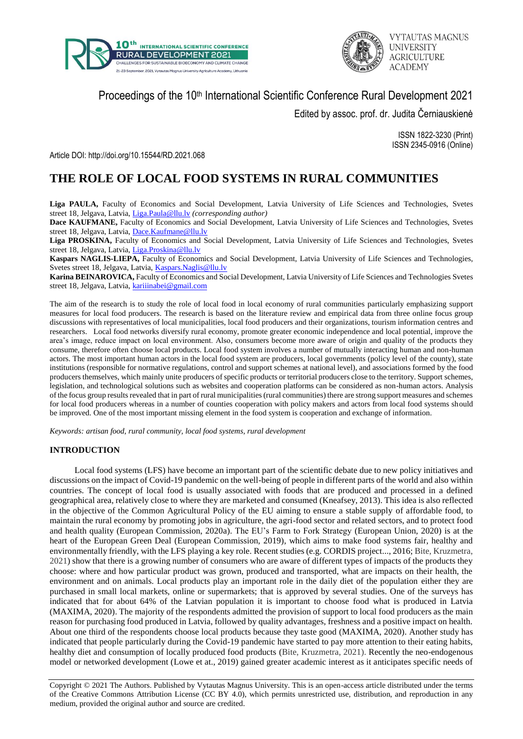



# Proceedings of the 10<sup>th</sup> International Scientific Conference Rural Development 2021

Edited by assoc. prof. dr. Judita Černiauskienė

ISSN 1822-3230 (Print) ISSN 2345-0916 (Online)

Article DOI: http://doi.org/10.15544/RD.2021.068

# **THE ROLE OF LOCAL FOOD SYSTEMS IN RURAL COMMUNITIES**

**Liga PAULA,** Faculty of Economics and Social Development, Latvia University of Life Sciences and Technologies, Svetes street 18, Jelgava, Latvia, [Liga.Paula@llu.lv](mailto:Liga.Paula@llu.lv) *(corresponding author)*

**Dace KAUFMANE,** Faculty of Economics and Social Development, Latvia University of Life Sciences and Technologies, Svetes street 18, Jelgava, Latvia, [Dace.Kaufmane@llu.lv](mailto:Dace.Kaufmane@llu.lv)

**Liga PROSKINA,** Faculty of Economics and Social Development, Latvia University of Life Sciences and Technologies, Svetes street 18, Jelgava, Latvia, [Liga.Proskina@llu.lv](mailto:Liga.Proskina@llu.lv)

**Kaspars NAGLIS-LIEPA,** Faculty of Economics and Social Development, Latvia University of Life Sciences and Technologies, Svetes street 18, Jelgava, Latvia, *Kaspars.Naglis@llu.lv* 

**Karina BEINAROVICA,** Faculty of Economics and Social Development, Latvia University of Life Sciences and Technologies Svetes street 18, Jelgava, Latvia, [kariiinabei@gmail.com](mailto:Liga.Paula@llu.lv)

The aim of the research is to study the role of local food in local economy of rural communities particularly emphasizing support measures for local food producers. The research is based on the literature review and empirical data from three online focus group discussions with representatives of local municipalities, local food producers and their organizations, tourism information centres and researchers. Local food networks diversify rural economy, promote greater economic independence and local potential, improve the area's image, reduce impact on local environment. Also, consumers become more aware of origin and quality of the products they consume, therefore often choose local products. Local food system involves a number of mutually interacting human and non-human actors. The most important human actors in the local food system are producers, local governments (policy level of the county), state institutions (responsible for normative regulations, control and support schemes at national level), and associations formed by the food producers themselves, which mainly unite producers of specific products or territorial producers close to the territory. Support schemes, legislation, and technological solutions such as websites and cooperation platforms can be considered as non-human actors. Analysis of the focus group results revealed that in part of rural municipalities (rural communities) there are strong support measures and schemes for local food producers whereas in a number of counties cooperation with policy makers and actors from local food systems should be improved. One of the most important missing element in the food system is cooperation and exchange of information.

*Keywords: artisan food, rural community, local food systems, rural development*

## **INTRODUCTION**

Local food systems (LFS) have become an important part of the scientific debate due to new policy initiatives and discussions on the impact of Covid-19 pandemic on the well-being of people in different parts of the world and also within countries. The concept of local food is usually associated with foods that are produced and processed in a defined geographical area, relatively close to where they are marketed and consumed (Kneafsey, 2013). This idea is also reflected in the objective of the Common Agricultural Policy of the EU aiming to ensure a stable supply of affordable food, to maintain the rural economy by promoting jobs in agriculture, the agri-food sector and related sectors, and to protect food and health quality (European Commission, 2020a). The EU's Farm to Fork Strategy (European Union, 2020) is at the heart of the European Green Deal (European Commission, 2019), which aims to make food systems fair, healthy and environmentally friendly, with the LFS playing a key role. Recent studies (e.g. CORDIS project..., 2016; Bite, Kruzmetra, 2021) show that there is a growing number of consumers who are aware of different types of impacts of the products they choose: where and how particular product was grown, produced and transported, what are impacts on their health, the environment and on animals. Local products play an important role in the daily diet of the population either they are purchased in small local markets, online or supermarkets; that is approved by several studies. One of the surveys has indicated that for about 64% of the Latvian population it is important to choose food what is produced in Latvia (MAXIMA, 2020). The majority of the respondents admitted the provision of support to local food producers as the main reason for purchasing food produced in Latvia, followed by quality advantages, freshness and a positive impact on health. About one third of the respondents choose local products because they taste good (MAXIMA, 2020). Another study has indicated that people particularly during the Covid-19 pandemic have started to pay more attention to their eating habits, healthy diet and consumption of locally produced food products (Bite, Kruzmetra, 2021). Recently the neo-endogenous model or networked development (Lowe et at., 2019) gained greater academic interest as it anticipates specific needs of

Copyright © 2021 The Authors. Published by Vytautas Magnus University. This is an open-access article distributed under the terms of the Creative Commons Attribution License (CC BY 4.0), which permits unrestricted use, distribution, and reproduction in any medium, provided the original author and source are credited.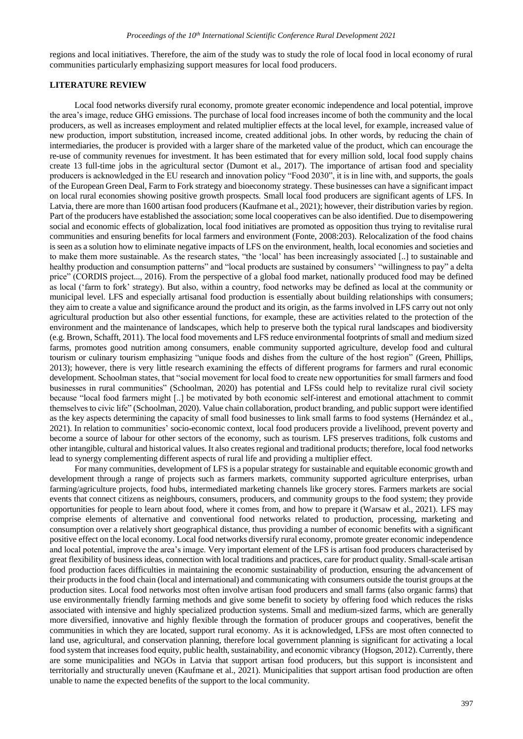regions and local initiatives. Therefore, the aim of the study was to study the role of local food in local economy of rural communities particularly emphasizing support measures for local food producers.

#### **LITERATURE REVIEW**

Local food networks diversify rural economy, promote greater economic independence and local potential, improve the area's image, reduce GHG emissions. The purchase of local food increases income of both the community and the local producers, as well as increases employment and related multiplier effects at the local level, for example, increased value of new production, import substitution, increased income, created additional jobs. In other words, by reducing the chain of intermediaries, the producer is provided with a larger share of the marketed value of the product, which can encourage the re-use of community revenues for investment. It has been estimated that for every million sold, local food supply chains create 13 full-time jobs in the agricultural sector (Dumont et al., 2017). The importance of artisan food and speciality producers is acknowledged in the EU research and innovation policy "Food 2030", it is in line with, and supports, the goals of the European Green Deal, Farm to Fork strategy and bioeconomy strategy. These businesses can have a significant impact on local rural economies showing positive growth prospects. Small local food producers are significant agents of LFS. In Latvia, there are more than 1600 artisan food producers (Kaufmane et al., 2021); however, their distribution varies by region. Part of the producers have established the association; some local cooperatives can be also identified. Due to disempowering social and economic effects of globalization, local food initiatives are promoted as opposition thus trying to revitalise rural communities and ensuring benefits for local farmers and environment (Fonte, 2008:203). Relocalization of the food chains is seen as a solution how to eliminate negative impacts of LFS on the environment, health, local economies and societies and to make them more sustainable. As the research states, "the 'local' has been increasingly associated [..] to sustainable and healthy production and consumption patterns" and "local products are sustained by consumers' "willingness to pay" a delta price" (CORDIS project..., 2016). From the perspective of a global food market, nationally produced food may be defined as local ('farm to fork' strategy). But also, within a country, food networks may be defined as local at the community or municipal level. LFS and especially artisanal food production is essentially about building relationships with consumers; they aim to create a value and significance around the product and its origin, as the farms involved in LFS carry out not only agricultural production but also other essential functions, for example, these are activities related to the protection of the environment and the maintenance of landscapes, which help to preserve both the typical rural landscapes and biodiversity (e.g. Brown, Schafft, 2011). The local food movements and LFS reduce environmental footprints of small and medium sized farms, promotes good nutrition among consumers, enable community supported agriculture, develop food and cultural tourism or culinary tourism emphasizing "unique foods and dishes from the culture of the host region" (Green, Phillips, 2013); however, there is very little research examining the effects of different programs for farmers and rural economic development. Schoolman states, that "social movement for local food to create new opportunities for small farmers and food businesses in rural communities" (Schoolman, 2020) has potential and LFSs could help to revitalize rural civil society because "local food farmers might [..] be motivated by both economic self-interest and emotional attachment to commit themselves to civic life" (Schoolman, 2020). Value chain collaboration, product branding, and public support were identified as the key aspects determining the capacity of small food businesses to link small farms to food systems (Hernández et al., 2021). In relation to communities' socio-economic context, local food producers provide a livelihood, prevent poverty and become a source of labour for other sectors of the economy, such as tourism. LFS preserves traditions, folk customs and other intangible, cultural and historical values. It also creates regional and traditional products; therefore, local food networks lead to synergy complementing different aspects of rural life and providing a multiplier effect.

For many communities, development of LFS is a popular strategy for sustainable and equitable economic growth and development through a range of projects such as farmers markets, community supported agriculture enterprises, urban farming/agriculture projects, food hubs, intermediated marketing channels like grocery stores. Farmers markets are social events that connect citizens as neighbours, consumers, producers, and community groups to the food system; they provide opportunities for people to learn about food, where it comes from, and how to prepare it (Warsaw et al., 2021). LFS may comprise elements of alternative and conventional food networks related to production, processing, marketing and consumption over a relatively short geographical distance, thus providing a number of economic benefits with a significant positive effect on the local economy. Local food networks diversify rural economy, promote greater economic independence and local potential, improve the area's image. Very important element of the LFS is artisan food producers characterised by great flexibility of business ideas, connection with local traditions and practices, care for product quality. Small-scale artisan food production faces difficulties in maintaining the economic sustainability of production, ensuring the advancement of their products in the food chain (local and international) and communicating with consumers outside the tourist groups at the production sites. Local food networks most often involve artisan food producers and small farms (also organic farms) that use environmentally friendly farming methods and give some benefit to society by offering food which reduces the risks associated with intensive and highly specialized production systems. Small and medium-sized farms, which are generally more diversified, innovative and highly flexible through the formation of producer groups and cooperatives, benefit the communities in which they are located, support rural economy. As it is acknowledged, LFSs are most often connected to land use, agricultural, and conservation planning, therefore local government planning is significant for activating a local food system that increases food equity, public health, sustainability, and economic vibrancy (Hogson, 2012). Currently, there are some municipalities and NGOs in Latvia that support artisan food producers, but this support is inconsistent and territorially and structurally uneven (Kaufmane et al., 2021). Municipalities that support artisan food production are often unable to name the expected benefits of the support to the local community.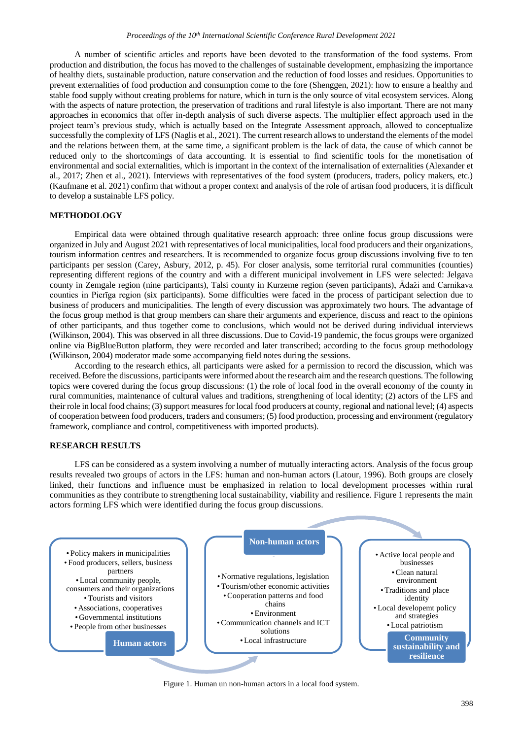#### *Proceedings of the 10th International Scientific Conference Rural Development 2021*

A number of scientific articles and reports have been devoted to the transformation of the food systems. From production and distribution, the focus has moved to the challenges of sustainable development, emphasizing the importance of healthy diets, sustainable production, nature conservation and the reduction of food losses and residues. Opportunities to prevent externalities of food production and consumption come to the fore (Shenggen, 2021): how to ensure a healthy and stable food supply without creating problems for nature, which in turn is the only source of vital ecosystem services. Along with the aspects of nature protection, the preservation of traditions and rural lifestyle is also important. There are not many approaches in economics that offer in-depth analysis of such diverse aspects. The multiplier effect approach used in the project team's previous study, which is actually based on the Integrate Assessment approach, allowed to conceptualize successfully the complexity of LFS (Naglis et al., 2021). The current research allows to understand the elements of the model and the relations between them, at the same time, a significant problem is the lack of data, the cause of which cannot be reduced only to the shortcomings of data accounting. It is essential to find scientific tools for the monetisation of environmental and social externalities, which is important in the context of the internalisation of externalities (Alexander et al., 2017; Zhen et al., 2021). Interviews with representatives of the food system (producers, traders, policy makers, etc.) (Kaufmane et al. 2021) confirm that without a proper context and analysis of the role of artisan food producers, it is difficult to develop a sustainable LFS policy.

### **METHODOLOGY**

Empirical data were obtained through qualitative research approach: three online focus group discussions were organized in July and August 2021 with representatives of local municipalities, local food producers and their organizations, tourism information centres and researchers. It is recommended to organize focus group discussions involving five to ten participants per session (Carey, Asbury, 2012, p. 45). For closer analysis, some territorial rural communities (counties) representing different regions of the country and with a different municipal involvement in LFS were selected: Jelgava county in Zemgale region (nine participants), Talsi county in Kurzeme region (seven participants), Ādaži and Carnikava counties in Pierīga region (six participants). Some difficulties were faced in the process of participant selection due to business of producers and municipalities. The length of every discussion was approximately two hours. The advantage of the focus group method is that group members can share their arguments and experience, discuss and react to the opinions of other participants, and thus together come to conclusions, which would not be derived during individual interviews (Wilkinson, 2004). This was observed in all three discussions. Due to Covid-19 pandemic, the focus groups were organized online via BigBlueButton platform, they were recorded and later transcribed; according to the focus group methodology (Wilkinson, 2004) moderator made some accompanying field notes during the sessions.

According to the research ethics, all participants were asked for a permission to record the discussion, which was received. Before the discussions, participants were informed about the research aim and the research questions. The following topics were covered during the focus group discussions: (1) the role of local food in the overall economy of the county in rural communities, maintenance of cultural values and traditions, strengthening of local identity; (2) actors of the LFS and their role in local food chains; (3) support measures for local food producers at county, regional and national level; (4) aspects of cooperation between food producers, traders and consumers; (5) food production, processing and environment (regulatory framework, compliance and control, competitiveness with imported products).

### **RESEARCH RESULTS**

LFS can be considered as a system involving a number of mutually interacting actors. Analysis of the focus group results revealed two groups of actors in the LFS: human and non-human actors (Latour, 1996). Both groups are closely linked, their functions and influence must be emphasized in relation to local development processes within rural communities as they contribute to strengthening local sustainability, viability and resilience. Figure 1 represents the main actors forming LFS which were identified during the focus group discussions.



#### Figure 1. Human un non-human actors in a local food system.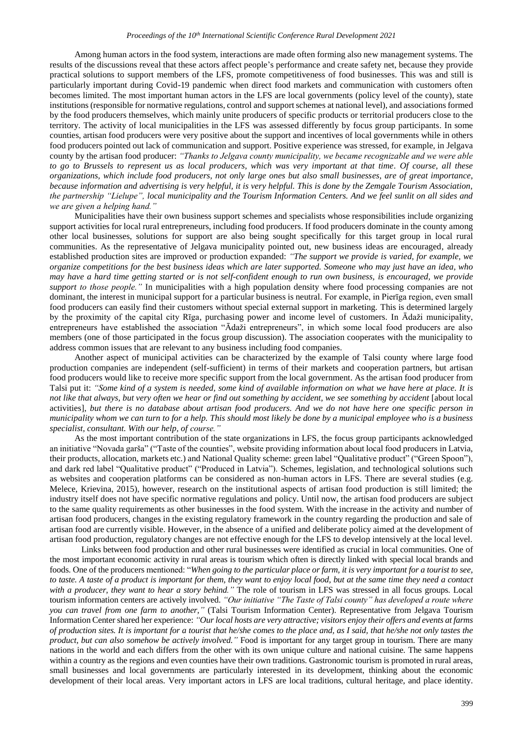Among human actors in the food system, interactions are made often forming also new management systems. The results of the discussions reveal that these actors affect people's performance and create safety net, because they provide practical solutions to support members of the LFS, promote competitiveness of food businesses. This was and still is particularly important during Covid-19 pandemic when direct food markets and communication with customers often becomes limited. The most important human actors in the LFS are local governments (policy level of the county), state institutions (responsible for normative regulations, control and support schemes at national level), and associations formed by the food producers themselves, which mainly unite producers of specific products or territorial producers close to the territory. The activity of local municipalities in the LFS was assessed differently by focus group participants. In some counties, artisan food producers were very positive about the support and incentives of local governments while in others food producers pointed out lack of communication and support. Positive experience was stressed, for example, in Jelgava county by the artisan food producer: *"Thanks to Jelgava county municipality, we became recognizable and we were able to go to Brussels to represent us as local producers, which was very important at that time. Of course, all these organizations, which include food producers, not only large ones but also small businesses, are of great importance, because information and advertising is very helpful, it is very helpful. This is done by the Zemgale Tourism Association, the partnership "Lielupe", local municipality and the Tourism Information Centers. And we feel sunlit on all sides and we are given a helping hand."*

Municipalities have their own business support schemes and specialists whose responsibilities include organizing support activities for local rural entrepreneurs, including food producers. If food producers dominate in the county among other local businesses, solutions for support are also being sought specifically for this target group in local rural communities. As the representative of Jelgava municipality pointed out, new business ideas are encouraged, already established production sites are improved or production expanded: *"The support we provide is varied, for example, we organize competitions for the best business ideas which are later supported. Someone who may just have an idea, who may have a hard time getting started or is not self-confident enough to run own business, is encouraged, we provide support to those people."* In municipalities with a high population density where food processing companies are not dominant, the interest in municipal support for a particular business is neutral. For example, in Pierīga region, even small food producers can easily find their customers without special external support in marketing. This is determined largely by the proximity of the capital city Rīga, purchasing power and income level of customers. In Ādaži municipality, entrepreneurs have established the association "Ādaži entrepreneurs", in which some local food producers are also members (one of those participated in the focus group discussion). The association cooperates with the municipality to address common issues that are relevant to any business including food companies.

Another aspect of municipal activities can be characterized by the example of Talsi county where large food production companies are independent (self-sufficient) in terms of their markets and cooperation partners, but artisan food producers would like to receive more specific support from the local government. As the artisan food producer from Talsi put it: *"Some kind of a system is needed, some kind of available information on what we have here at place. It is not like that always, but very often we hear or find out something by accident, we see something by accident* [about local activities], *but there is no database about artisan food producers. And we do not have here one specific person in municipality whom we can turn to for a help. This should most likely be done by a municipal employee who is a business specialist, consultant. With our help, of course."*

As the most important contribution of the state organizations in LFS, the focus group participants acknowledged an initiative "Novada garša" ("Taste of the counties", website providing information about local food producers in Latvia, their products, allocation, markets etc.) and National Quality scheme: green label "Qualitative product" ("Green Spoon"), and dark red label "Qualitative product" ("Produced in Latvia"). Schemes, legislation, and technological solutions such as websites and cooperation platforms can be considered as non-human actors in LFS. There are several studies (e.g. Melece, Krievina, 2015), however, research on the institutional aspects of artisan food production is still limited; the industry itself does not have specific normative regulations and policy. Until now, the artisan food producers are subject to the same quality requirements as other businesses in the food system. With the increase in the activity and number of artisan food producers, changes in the existing regulatory framework in the country regarding the production and sale of artisan food are currently visible. However, in the absence of a unified and deliberate policy aimed at the development of artisan food production, regulatory changes are not effective enough for the LFS to develop intensively at the local level.

Links between food production and other rural businesses were identified as crucial in local communities. One of the most important economic activity in rural areas is tourism which often is directly linked with special local brands and foods. One of the producers mentioned: "*When going to the particular place or farm, it is very important for a tourist to see, to taste. A taste of a product is important for them, they want to enjoy local food, but at the same time they need a contact with a producer, they want to hear a story behind."* The role of tourism in LFS was stressed in all focus groups. Local tourism information centers are actively involved. *"Our initiative "The Taste of Talsi county" has developed a route where you can travel from one farm to another,"* (Talsi Tourism Information Center). Representative from Jelgava Tourism Information Center shared her experience: *"Our local hosts are very attractive; visitors enjoy their offers and events at farms of production sites. It is important for a tourist that he/she comes to the place and, as I said, that he/she not only tastes the product, but can also somehow be actively involved."* Food is important for any target group in tourism. There are many nations in the world and each differs from the other with its own unique culture and national cuisine. The same happens within a country as the regions and even counties have their own traditions. Gastronomic tourism is promoted in rural areas, small businesses and local governments are particularly interested in its development, thinking about the economic development of their local areas. Very important actors in LFS are local traditions, cultural heritage, and place identity.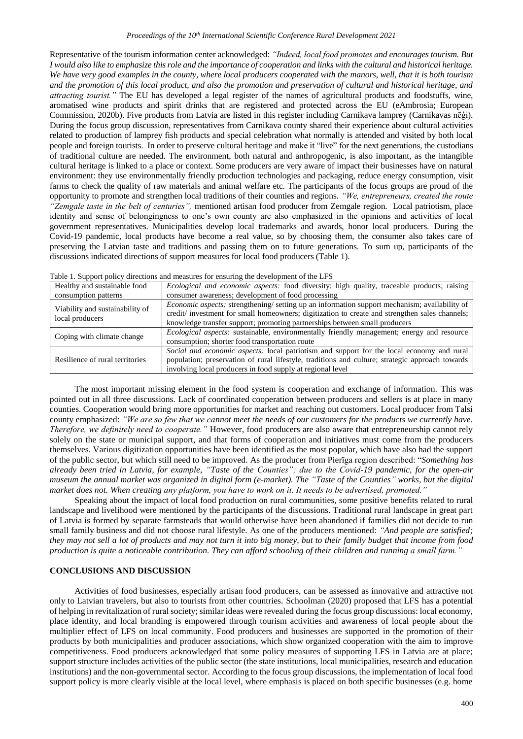Representative of the tourism information center acknowledged: *"Indeed, local food promotes and encourages tourism. But I would also like to emphasize this role and the importance of cooperation and links with the cultural and historical heritage. We have very good examples in the county, where local producers cooperated with the manors, well, that it is both tourism and the promotion of this local product, and also the promotion and preservation of cultural and historical heritage, and attracting tourist."* The EU has developed a legal register of the names of agricultural products and foodstuffs, wine, aromatised wine products and spirit drinks that are registered and protected across the EU (eAmbrosia; European Commission, 2020b). Five products from Latvia are listed in this register including Carnikava lamprey (Carnikavas nēģi). During the focus group discussion, representatives from Carnikava county shared their experience about cultural activities related to production of lamprey fish products and special celebration what normally is attended and visited by both local people and foreign tourists. In order to preserve cultural heritage and make it "live" for the next generations, the custodians of traditional culture are needed. The environment, both natural and anthropogenic, is also important, as the intangible cultural heritage is linked to a place or context. Some producers are very aware of impact their businesses have on natural environment: they use environmentally friendly production technologies and packaging, reduce energy consumption, visit farms to check the quality of raw materials and animal welfare etc. The participants of the focus groups are proud of the opportunity to promote and strengthen local traditions of their counties and regions. *"We, entrepreneurs, created the route "Zemgale taste in the belt of centuries",* mentioned artisan food producer from Zemgale region. Local patriotism, place identity and sense of belongingness to one's own county are also emphasized in the opinions and activities of local government representatives. Municipalities develop local trademarks and awards, honor local producers. During the Covid-19 pandemic, local products have become a real value, so by choosing them, the consumer also takes care of preserving the Latvian taste and traditions and passing them on to future generations. To sum up, participants of the discussions indicated directions of support measures for local food producers (Table 1).

| Twere it coppert policy allocated and measured for ensuring are development of the EFR |                                                                                                     |  |  |  |  |  |
|----------------------------------------------------------------------------------------|-----------------------------------------------------------------------------------------------------|--|--|--|--|--|
| Healthy and sustainable food                                                           | <i>Ecological and economic aspects:</i> food diversity; high quality, traceable products; raising   |  |  |  |  |  |
| consumption patterns                                                                   | consumer awareness; development of food processing                                                  |  |  |  |  |  |
| Viability and sustainability of<br>local producers                                     | <i>Economic aspects:</i> strengthening/setting up an information support mechanism; availability of |  |  |  |  |  |
|                                                                                        | credit/investment for small homeowners; digitization to create and strengthen sales channels;       |  |  |  |  |  |
|                                                                                        | knowledge transfer support; promoting partnerships between small producers                          |  |  |  |  |  |
| Coping with climate change                                                             | <i>Ecological aspects:</i> sustainable, environmentally friendly management; energy and resource    |  |  |  |  |  |
|                                                                                        | consumption; shorter food transportation route                                                      |  |  |  |  |  |
| Resilience of rural territories                                                        | Social and economic aspects: local patriotism and support for the local economy and rural           |  |  |  |  |  |
|                                                                                        | population; preservation of rural lifestyle, traditions and culture; strategic approach towards     |  |  |  |  |  |
|                                                                                        | involving local producers in food supply at regional level                                          |  |  |  |  |  |

|  |  |  | Table 1. Support policy directions and measures for ensuring the development of the LFS |
|--|--|--|-----------------------------------------------------------------------------------------|
|  |  |  |                                                                                         |

The most important missing element in the food system is cooperation and exchange of information. This was pointed out in all three discussions. Lack of coordinated cooperation between producers and sellers is at place in many counties. Cooperation would bring more opportunities for market and reaching out customers. Local producer from Talsi county emphasized: *"We are so few that we cannot meet the needs of our customers for the products we currently have. Therefore, we definitely need to cooperate."* However, food producers are also aware that entrepreneurship cannot rely solely on the state or municipal support, and that forms of cooperation and initiatives must come from the producers themselves. Various digitization opportunities have been identified as the most popular, which have also had the support of the public sector, but which still need to be improved. As the producer from Pierīga region described: "*Something has already been tried in Latvia, for example, "Taste of the Counties"; due to the Covid-19 pandemic, for the open-air museum the annual market was organized in digital form (e-market). The "Taste of the Counties" works, but the digital market does not. When creating any platform, you have to work on it. It needs to be advertised, promoted."*

Speaking about the impact of local food production on rural communities, some positive benefits related to rural landscape and livelihood were mentioned by the participants of the discussions. Traditional rural landscape in great part of Latvia is formed by separate farmsteads that would otherwise have been abandoned if families did not decide to run small family business and did not choose rural lifestyle. As one of the producers mentioned: *"And people are satisfied; they may not sell a lot of products and may not turn it into big money, but to their family budget that income from food production is quite a noticeable contribution. They can afford schooling of their children and running a small farm."*

### **CONCLUSIONS AND DISCUSSION**

Activities of food businesses, especially artisan food producers, can be assessed as innovative and attractive not only to Latvian travelers, but also to tourists from other countries. Schoolman (2020) proposed that LFS has a potential of helping in revitalization of rural society; similar ideas were revealed during the focus group discussions: local economy, place identity, and local branding is empowered through tourism activities and awareness of local people about the multiplier effect of LFS on local community. Food producers and businesses are supported in the promotion of their products by both municipalities and producer associations, which show organized cooperation with the aim to improve competitiveness. Food producers acknowledged that some policy measures of supporting LFS in Latvia are at place; support structure includes activities of the public sector (the state institutions, local municipalities, research and education institutions) and the non-governmental sector. According to the focus group discussions, the implementation of local food support policy is more clearly visible at the local level, where emphasis is placed on both specific businesses (e.g. home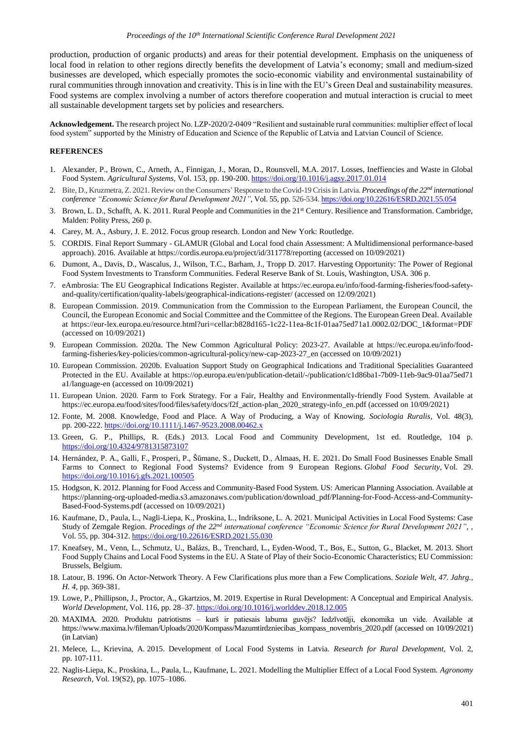production, production of organic products) and areas for their potential development. Emphasis on the uniqueness of local food in relation to other regions directly benefits the development of Latvia's economy; small and medium-sized businesses are developed, which especially promotes the socio-economic viability and environmental sustainability of rural communities through innovation and creativity. This is in line with the EU's Green Deal and sustainability measures. Food systems are complex involving a number of actors therefore cooperation and mutual interaction is crucial to meet all sustainable development targets set by policies and researchers.

**Acknowledgement.** The research project No. LZP-2020/2-0409 "Resilient and sustainable rural communities: multiplier effect of local food system" supported by the Ministry of Education and Science of the Republic of Latvia and Latvian Council of Science.

#### **REFERENCES**

- 1. Alexander, P., Brown, C., Arneth, A., Finnigan, J., Moran, D., Rounsvell, M.A. 2017. Losses, Ineffiencies and Waste in Global Food System. *Agricultural Systems*, Vol. 153, pp. 190-200. <https://doi.org/10.1016/j.agsy.2017.01.014>
- 2. Bite, D., Kruzmetra, Z. 2021. Review on the Consumers' Response to the Covid-19 Crisis in Latvia. *Proceedings of the 22nd international conference "Economic Science for Rural Development 2021"*, Vol. 55, pp. 526-534. <https://doi.org/10.22616/ESRD.2021.55.054>
- 3. Brown, L. D., Schafft, A. K. 2011. Rural People and Communities in the 21st Century. Resilience and Transformation. Cambridge, Malden: Polity Press, 260 p.
- 4. Carey, M. A., Asbury, J. E. 2012. Focus group research. London and New York: Routledge.
- 5. CORDIS. Final Report Summary GLAMUR (Global and Local food chain Assessment: A Multidimensional performance-based approach). 2016. Available at <https://cordis.europa.eu/project/id/311778/reporting> (accessed on 10/09/2021)
- 6. Dumont, A., Davis, D., Wascalus, J., Wilson, T.C., Barham, J., Tropp D. 2017. Harvesting Opportunity: The Power of Regional Food System Investments to Transform Communities. Federal Reserve Bank of St. Louis, Washington, USA. 306 p.
- 7. eAmbrosia: The EU Geographical Indications Register. Available at https://ec.europa.eu/info/food-farming-fisheries/food-safetyand-quality/certification/quality-labels/geographical-indications-register/ (accessed on 12/09/2021)
- 8. European Commission. 2019. Communication from the Commission to the European Parliament, the European Council, the Council, the European Economic and Social Committee and the Committee of the Regions. The European Green Deal. Available at [https://eur-lex.europa.eu/resource.html?uri=cellar:b828d165-1c22-11ea-8c1f-01aa75ed71a1.0002.02/DOC\\_1&format=PDF](https://eur-lex.europa.eu/resource.html?uri=cellar:b828d165-1c22-11ea-8c1f-01aa75ed71a1.0002.02/DOC_1&format=PDF) (accessed on 10/09/2021)
- 9. European Commission. 2020a. The New Common Agricultural Policy: 2023-27. Available at [https://ec.europa.eu/info/food](https://ec.europa.eu/info/food-farming-fisheries/key-policies/common-agricultural-policy/new-cap-2023-27_en)[farming-fisheries/key-policies/common-agricultural-policy/new-cap-2023-27\\_en](https://ec.europa.eu/info/food-farming-fisheries/key-policies/common-agricultural-policy/new-cap-2023-27_en) (accessed on 10/09/2021)
- 10. European Commission. 2020b. Evaluation Support Study on Geographical Indications and Traditional Specialities Guaranteed Protected in the EU. Available at https://op.europa.eu/en/publication-detail/-/publication/c1d86ba1-7b09-11eb-9ac9-01aa75ed71 a1/language-en (accessed on 10/09/2021)
- 11. European Union. 2020. Farm to Fork Strategy. For a Fair, Healthy and Environmentally-friendly Food System. Available at [https://ec.europa.eu/food/sites/food/files/safety/docs/f2f\\_action-plan\\_2020\\_strategy-info\\_en.pdf](https://ec.europa.eu/food/sites/food/files/safety/docs/f2f_action-plan_2020_strategy-info_en.pdf) (accessed on 10/09/2021)
- 12. Fonte, M. 2008. Knowledge, Food and Place. A Way of Producing, a Way of Knowing. *Sociologia Ruralis*, Vol. 48(3), pp. 200-222.<https://doi.org/10.1111/j.1467-9523.2008.00462.x>
- 13. Green, G. P., Phillips, R. (Eds.) 2013. Local Food and Community Development, 1st ed. Routledge, 104 p. <https://doi.org/10.4324/9781315873107>
- 14. Hernández, P. A., Galli, F., Prosperi, P., Šūmane, S., Duckett, D., Almaas, H. E. 2021. Do Small Food Businesses Enable Small Farms to Connect to Regional Food Systems? Evidence from 9 European Regions. *Global Food Security*, Vol. 29. <https://doi.org/10.1016/j.gfs.2021.100505>
- 15. Hodgson, K. 2012. Planning for Food Access and Community-Based Food System. US: American Planning Association. Available at [https://planning-org-uploaded-media.s3.amazonaws.com/publication/download\\_pdf/Planning-for-Food-Access-and-Community-](https://planning-org-uploaded-media.s3.amazonaws.com/publication/download_pdf/Planning-for-Food-Access-and-Community-Based-Food-Systems.pdf)[Based-Food-Systems.pdf](https://planning-org-uploaded-media.s3.amazonaws.com/publication/download_pdf/Planning-for-Food-Access-and-Community-Based-Food-Systems.pdf) (accessed on 10/09/2021)
- 16. Kaufmane, D., Paula, L., Nagli-Liepa, K., Proskina, L., Indriksone, L. A. 2021. Municipal Activities in Local Food Systems: Case Study of Zemgale Region. *Procedings of the 22nd international conference "Economic Science for Rural Development 2021"*, , Vol. 55, pp. 304-312. <https://doi.org/10.22616/ESRD.2021.55.030>
- 17. Kneafsey, M., Venn, L., Schmutz, U., Balázs, B., Trenchard, L., Eyden-Wood, T., Bos, E., Sutton, G., Blacket, M. 2013. Short Food Supply Chains and Local Food Systems in the EU. A State of Play of their Socio-Economic Characteristics; EU Commission: Brussels, Belgium.
- 18. Latour, B. 1996. On Actor-Network Theory. A Few Clarifications plus more than a Few Complications. *Soziale Welt*, *47. Jahrg., H. 4,* pp. 369-381.
- 19. Lowe, P., Phillipson, J., Proctor, A., Gkartzios, M. 2019. Expertise in Rural Development: A Conceptual and Empirical Analysis. *World Development*, Vol. 116, pp. 28–37. <https://doi.org/10.1016/j.worlddev.2018.12.005>
- 20. MAXIMA. 2020. Produktu patriotisms kurš ir patiesais labuma guvējs? Iedzīvotāji, ekonomika un vide. Available at [https://www.maxima.lv/fileman/Uploads/2020/Kompass/Mazumtirdzniecibas\\_kompass\\_novembris\\_2020.pdf](https://www.maxima.lv/fileman/Uploads/2020/Kompass/Mazumtirdzniecibas_kompass_novembris_2020.pdf) (accessed on 10/09/2021) (in Latvian)
- 21. Melece, L., Krievina, A..2015. Development of Local Food Systems in Latvia. *Research for Rural Development*, Vol. 2, pp. 107-111.
- 22. Naglis-Liepa, K., Proskina, L., Paula, L., Kaufmane, L. 2021. Modelling the Multiplier Effect of a Local Food System. *Agronomy Research,* Vol. 19(S2), pp. 1075–1086.